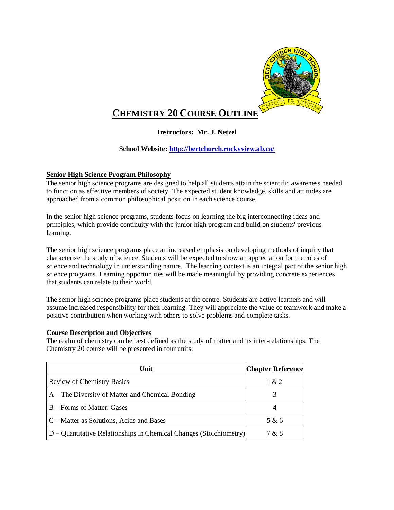

# **CHEMISTRY 20 COURSE OUTLINE**

**Instructors: Mr. J. Netzel**

**School Website: <http://bertchurch.rockyview.ab.ca/>**

## **Senior High Science Program Philosophy**

The senior high science programs are designed to help all students attain the scientific awareness needed to function as effective members of society. The expected student knowledge, skills and attitudes are approached from a common philosophical position in each science course.

In the senior high science programs, students focus on learning the big interconnecting ideas and principles, which provide continuity with the junior high program and build on students' previous learning.

The senior high science programs place an increased emphasis on developing methods of inquiry that characterize the study of science. Students will be expected to show an appreciation for the roles of science and technology in understanding nature. The learning context is an integral part of the senior high science programs. Learning opportunities will be made meaningful by providing concrete experiences that students can relate to their world.

The senior high science programs place students at the centre. Students are active learners and will assume increased responsibility for their learning. They will appreciate the value of teamwork and make a positive contribution when working with others to solve problems and complete tasks.

### **Course Description and Objectives**

The realm of chemistry can be best defined as the study of matter and its inter-relationships. The Chemistry 20 course will be presented in four units:

| Unit                                                                 | <b>Chapter Reference</b> |
|----------------------------------------------------------------------|--------------------------|
| <b>Review of Chemistry Basics</b>                                    | 1 & 2                    |
| A – The Diversity of Matter and Chemical Bonding                     |                          |
| B – Forms of Matter: Gases                                           |                          |
| C – Matter as Solutions, Acids and Bases                             | 5 & 6                    |
| $D -$ Quantitative Relationships in Chemical Changes (Stoichiometry) | 7 & 8                    |